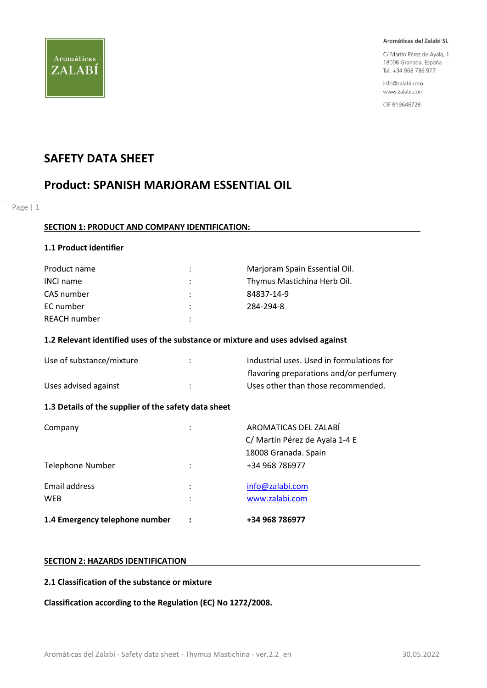

C/ Martín Pérez de Ayala, 1 18008 Granada, España Tel. +34 968 786 977

info@zalabi.com www.zalabi.com

CIF B19646728

## **SAFETY DATA SHEET**

## **Product: SPANISH MARJORAM ESSENTIAL OIL**

Page | 1

## **SECTION 1: PRODUCT AND COMPANY IDENTIFICATION:**

## **1.1 Product identifier**

| Product name     | $\mathcal{L}$ | Marjoram Spain Essential Oil. |
|------------------|---------------|-------------------------------|
| <b>INCI name</b> | ÷             | Thymus Mastichina Herb Oil.   |
| CAS number       | $\mathcal{L}$ | 84837-14-9                    |
| EC number        |               | 284-294-8                     |
| REACH number     |               |                               |

## **1.2 Relevant identified uses of the substance or mixture and uses advised against**

| Use of substance/mixture | Industrial uses. Used in formulations for |
|--------------------------|-------------------------------------------|
|                          | flavoring preparations and/or perfumery   |
| Uses advised against     | Uses other than those recommended.        |

## **1.3 Details of the supplier of the safety data sheet**

| 1.4 Emergency telephone number |        | +34 968 786977                                          |
|--------------------------------|--------|---------------------------------------------------------|
| Email address<br><b>WEB</b>    | ٠<br>٠ | info@zalabi.com<br>www.zalabi.com                       |
| Telephone Number               | ٠      | 18008 Granada. Spain<br>+34 968 786977                  |
| Company                        | ٠      | AROMATICAS DEL ZALABÍ<br>C/ Martín Pérez de Ayala 1-4 E |

#### **SECTION 2: HAZARDS IDENTIFICATION**

## **2.1 Classification of the substance or mixture**

**Classification according to the Regulation (EC) No 1272/2008.**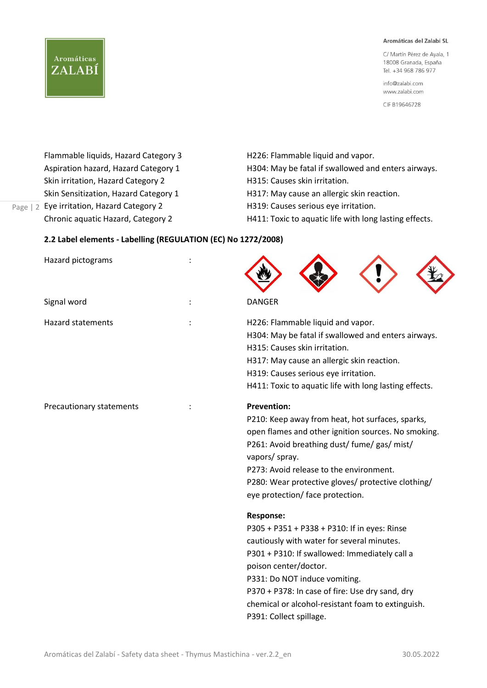C/ Martín Pérez de Ayala, 1 18008 Granada, España Tel. +34 968 786 977

info@zalabi.com www.zalabi.com

CIF B19646728

Page | 2 Eye irritation, Hazard Category 2 Skin irritation, Hazard Category 2 H315: Causes skin irritation. Skin Sensitization, Hazard Category 1 H317: May cause an allergic skin reaction.

**Aromáticas** 

ZALABÍ

# Flammable liquids, Hazard Category 3 H226: Flammable liquid and vapor. Aspiration hazard, Hazard Category 1 H304: May be fatal if swallowed and enters airways.

- H319: Causes serious eye irritation.
- Chronic aquatic Hazard, Category 2 H411: Toxic to aquatic life with long lasting effects.

## **2.2 Label elements - Labelling (REGULATION (EC) No 1272/2008)**

| Hazard pictograms        |                                                                                                                                                                                                                                                                                                                                                              |
|--------------------------|--------------------------------------------------------------------------------------------------------------------------------------------------------------------------------------------------------------------------------------------------------------------------------------------------------------------------------------------------------------|
| Signal word              | <b>DANGER</b>                                                                                                                                                                                                                                                                                                                                                |
| <b>Hazard statements</b> | H226: Flammable liquid and vapor.<br>H304: May be fatal if swallowed and enters airways.<br>H315: Causes skin irritation.<br>H317: May cause an allergic skin reaction.<br>H319: Causes serious eye irritation.<br>H411: Toxic to aquatic life with long lasting effects.                                                                                    |
| Precautionary statements | <b>Prevention:</b><br>P210: Keep away from heat, hot surfaces, sparks,<br>open flames and other ignition sources. No smoking.<br>P261: Avoid breathing dust/ fume/ gas/ mist/<br>vapors/ spray.<br>P273: Avoid release to the environment.<br>P280: Wear protective gloves/ protective clothing/<br>eye protection/ face protection.                         |
|                          | <b>Response:</b><br>P305 + P351 + P338 + P310: If in eyes: Rinse<br>cautiously with water for several minutes.<br>P301 + P310: If swallowed: Immediately call a<br>poison center/doctor.<br>P331: Do NOT induce vomiting.<br>P370 + P378: In case of fire: Use dry sand, dry<br>chemical or alcohol-resistant foam to extinguish.<br>P391: Collect spillage. |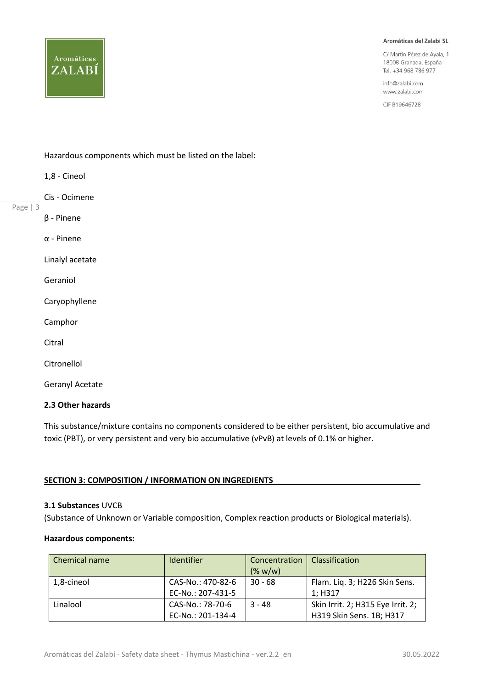C/ Martín Pérez de Ayala, 1 18008 Granada, España Tel. +34 968 786 977

info@zalabi.com www.zalabi.com

CIF B19646728

**Aromáticas** ZALABÍ

Hazardous components which must be listed on the label:

- 1,8 Cineol
- Cis Ocimene
- Page | 3
- β Pinene

α - Pinene

Linalyl acetate

Geraniol

Caryophyllene

Camphor

**Citral** 

Citronellol

Geranyl Acetate

## **2.3 Other hazards**

This substance/mixture contains no components considered to be either persistent, bio accumulative and toxic (PBT), or very persistent and very bio accumulative (vPvB) at levels of 0.1% or higher.

#### **SECTION 3: COMPOSITION / INFORMATION ON INGREDIENTS**

#### **3.1 Substances** UVCB

(Substance of Unknown or Variable composition, Complex reaction products or Biological materials).

#### **Hazardous components:**

| Chemical name | <b>Identifier</b> | Concentration<br>(% w/w) | Classification                    |
|---------------|-------------------|--------------------------|-----------------------------------|
| 1,8-cineol    | CAS-No.: 470-82-6 | $30 - 68$                | Flam. Liq. 3; H226 Skin Sens.     |
|               | EC-No.: 207-431-5 |                          | 1; H317                           |
| Linalool      | CAS-No.: 78-70-6  | $3 - 48$                 | Skin Irrit. 2; H315 Eye Irrit. 2; |
|               | EC-No.: 201-134-4 |                          | H319 Skin Sens. 1B; H317          |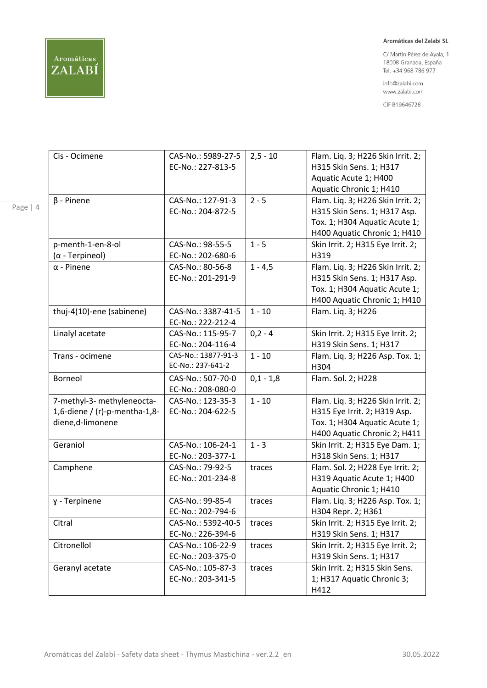

C/ Martín Pérez de Ayala, 1 18008 Granada, España Tel. +34 968 786 977

info@zalabi.com www.zalabi.com

CIF B19646728

| Cis - Ocimene                 | CAS-No.: 5989-27-5  | $2,5 - 10$  | Flam. Liq. 3; H226 Skin Irrit. 2; |
|-------------------------------|---------------------|-------------|-----------------------------------|
|                               | EC-No.: 227-813-5   |             | H315 Skin Sens. 1; H317           |
|                               |                     |             | Aquatic Acute 1; H400             |
|                               |                     |             | Aquatic Chronic 1; H410           |
| $\beta$ - Pinene              | CAS-No.: 127-91-3   | $2 - 5$     | Flam. Liq. 3; H226 Skin Irrit. 2; |
|                               | EC-No.: 204-872-5   |             | H315 Skin Sens. 1; H317 Asp.      |
|                               |                     |             | Tox. 1; H304 Aquatic Acute 1;     |
|                               |                     |             | H400 Aquatic Chronic 1; H410      |
| p-menth-1-en-8-ol             | CAS-No.: 98-55-5    | $1 - 5$     | Skin Irrit. 2; H315 Eye Irrit. 2; |
| $(\alpha$ - Terpineol)        | EC-No.: 202-680-6   |             | H319                              |
| $\alpha$ - Pinene             | CAS-No.: 80-56-8    | $1 - 4,5$   | Flam. Liq. 3; H226 Skin Irrit. 2; |
|                               | EC-No.: 201-291-9   |             | H315 Skin Sens. 1; H317 Asp.      |
|                               |                     |             | Tox. 1; H304 Aquatic Acute 1;     |
|                               |                     |             | H400 Aquatic Chronic 1; H410      |
| thuj-4(10)-ene (sabinene)     | CAS-No.: 3387-41-5  | $1 - 10$    | Flam. Lig. 3; H226                |
|                               | EC-No.: 222-212-4   |             |                                   |
| Linalyl acetate               | CAS-No.: 115-95-7   | $0,2 - 4$   | Skin Irrit. 2; H315 Eye Irrit. 2; |
|                               | EC-No.: 204-116-4   |             | H319 Skin Sens. 1; H317           |
| Trans - ocimene               | CAS-No.: 13877-91-3 | $1 - 10$    | Flam. Liq. 3; H226 Asp. Tox. 1;   |
|                               | EC-No.: 237-641-2   |             | H304                              |
| Borneol                       | CAS-No.: 507-70-0   | $0,1 - 1,8$ | Flam. Sol. 2; H228                |
|                               | EC-No.: 208-080-0   |             |                                   |
| 7-methyl-3- methyleneocta-    | CAS-No.: 123-35-3   | $1 - 10$    | Flam. Liq. 3; H226 Skin Irrit. 2; |
| 1,6-diene / (r)-p-mentha-1,8- | EC-No.: 204-622-5   |             | H315 Eye Irrit. 2; H319 Asp.      |
| diene, d-limonene             |                     |             | Tox. 1; H304 Aquatic Acute 1;     |
|                               |                     |             | H400 Aquatic Chronic 2; H411      |
| Geraniol                      | CAS-No.: 106-24-1   | $1 - 3$     | Skin Irrit. 2; H315 Eye Dam. 1;   |
|                               | EC-No.: 203-377-1   |             | H318 Skin Sens. 1; H317           |
| Camphene                      | CAS-No.: 79-92-5    | traces      | Flam. Sol. 2; H228 Eye Irrit. 2;  |
|                               | EC-No.: 201-234-8   |             | H319 Aquatic Acute 1; H400        |
|                               |                     |             | Aquatic Chronic 1; H410           |
| y - Terpinene                 | CAS-No.: 99-85-4    | traces      | Flam. Liq. 3; H226 Asp. Tox. 1;   |
|                               | EC-No.: 202-794-6   |             | H304 Repr. 2; H361                |
| Citral                        | CAS-No.: 5392-40-5  | traces      | Skin Irrit. 2; H315 Eye Irrit. 2; |
|                               | EC-No.: 226-394-6   |             | H319 Skin Sens. 1; H317           |
| Citronellol                   | CAS-No.: 106-22-9   | traces      | Skin Irrit. 2; H315 Eye Irrit. 2; |
|                               | EC-No.: 203-375-0   |             | H319 Skin Sens. 1; H317           |
| Geranyl acetate               | CAS-No.: 105-87-3   | traces      | Skin Irrit. 2; H315 Skin Sens.    |
|                               | EC-No.: 203-341-5   |             | 1; H317 Aquatic Chronic 3;        |
|                               |                     |             | H412                              |

Page | 4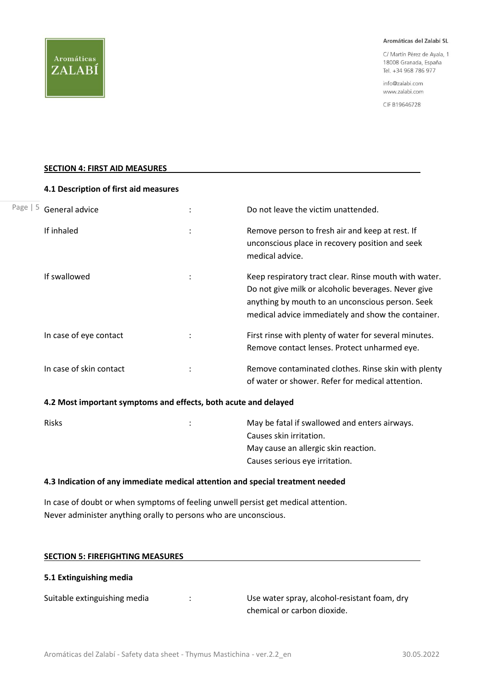C/ Martín Pérez de Ayala, 1 18008 Granada, España Tel. +34 968 786 977

info@zalabi.com www.zalabi.com

CIF B19646728

#### **SECTION 4: FIRST AID MEASURES**

#### **4.1 Description of first aid measures**

| Page $  5$ | General advice          | Do not leave the victim unattended.                                                                                                                                                                                    |
|------------|-------------------------|------------------------------------------------------------------------------------------------------------------------------------------------------------------------------------------------------------------------|
|            | If inhaled              | Remove person to fresh air and keep at rest. If<br>unconscious place in recovery position and seek<br>medical advice.                                                                                                  |
|            | If swallowed            | Keep respiratory tract clear. Rinse mouth with water.<br>Do not give milk or alcoholic beverages. Never give<br>anything by mouth to an unconscious person. Seek<br>medical advice immediately and show the container. |
|            | In case of eye contact  | First rinse with plenty of water for several minutes.<br>Remove contact lenses. Protect unharmed eye.                                                                                                                  |
|            | In case of skin contact | Remove contaminated clothes. Rinse skin with plenty<br>of water or shower. Refer for medical attention.                                                                                                                |

#### **4.2 Most important symptoms and effects, both acute and delayed**

| <b>Risks</b> | $\ddot{\phantom{a}}$ | May be fatal if swallowed and enters airways. |
|--------------|----------------------|-----------------------------------------------|
|              |                      | Causes skin irritation.                       |
|              |                      | May cause an allergic skin reaction.          |
|              |                      | Causes serious eye irritation.                |
|              |                      |                                               |

#### **4.3 Indication of any immediate medical attention and special treatment needed**

In case of doubt or when symptoms of feeling unwell persist get medical attention. Never administer anything orally to persons who are unconscious.

| <b>SECTION 5: FIREFIGHTING MEASURES</b> |  |
|-----------------------------------------|--|
| 5.1 Extinguishing media                 |  |
|                                         |  |

Suitable extinguishing media : The Suitable extinguishing media in the state of the Use water spray, alcohol-resistant foam, dry chemical or carbon dioxide.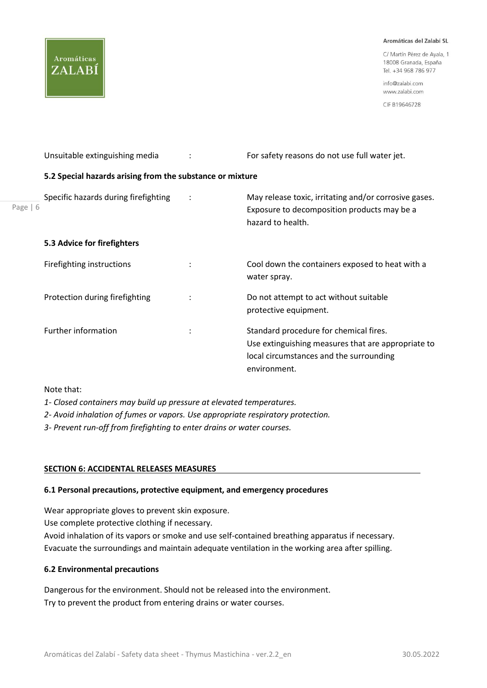C/ Martín Pérez de Ayala, 1 18008 Granada, España Tel. +34 968 786 977

info@zalabi.com www.zalabi.com

CIF B19646728

|            | Unsuitable extinguishing media                            |                      | For safety reasons do not use full water jet.                                                                                                           |
|------------|-----------------------------------------------------------|----------------------|---------------------------------------------------------------------------------------------------------------------------------------------------------|
|            | 5.2 Special hazards arising from the substance or mixture |                      |                                                                                                                                                         |
| Page $  6$ | Specific hazards during firefighting                      | ÷                    | May release toxic, irritating and/or corrosive gases.<br>Exposure to decomposition products may be a<br>hazard to health.                               |
|            | 5.3 Advice for firefighters                               |                      |                                                                                                                                                         |
|            | Firefighting instructions                                 | $\ddot{\phantom{a}}$ | Cool down the containers exposed to heat with a<br>water spray.                                                                                         |
|            | Protection during firefighting                            | $\ddot{\phantom{a}}$ | Do not attempt to act without suitable<br>protective equipment.                                                                                         |
|            | Further information                                       | $\ddot{\phantom{a}}$ | Standard procedure for chemical fires.<br>Use extinguishing measures that are appropriate to<br>local circumstances and the surrounding<br>environment. |

Note that:

Aromáticas

ZALABÍ

- *1- Closed containers may build up pressure at elevated temperatures.*
- *2- Avoid inhalation of fumes or vapors. Use appropriate respiratory protection.*
- *3- Prevent run-off from firefighting to enter drains or water courses.*

## **SECTION 6: ACCIDENTAL RELEASES MEASURES**

#### **6.1 Personal precautions, protective equipment, and emergency procedures**

Wear appropriate gloves to prevent skin exposure.

Use complete protective clothing if necessary.

Avoid inhalation of its vapors or smoke and use self-contained breathing apparatus if necessary. Evacuate the surroundings and maintain adequate ventilation in the working area after spilling.

#### **6.2 Environmental precautions**

Dangerous for the environment. Should not be released into the environment. Try to prevent the product from entering drains or water courses.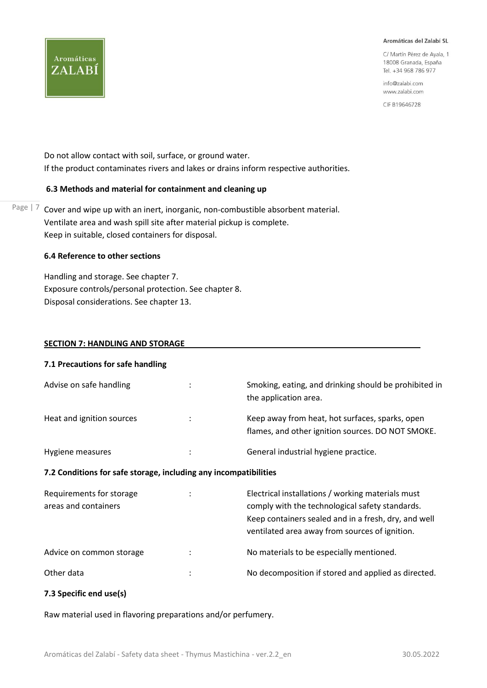C/ Martín Pérez de Ayala, 1 18008 Granada, España Tel. +34 968 786 977

info@zalabi.com www.zalabi.com

CIF B19646728

Do not allow contact with soil, surface, or ground water. If the product contaminates rivers and lakes or drains inform respective authorities.

#### **6.3 Methods and material for containment and cleaning up**

Page  $\vert$  7 Cover and wipe up with an inert, inorganic, non-combustible absorbent material. Ventilate area and wash spill site after material pickup is complete. Keep in suitable, closed containers for disposal.

## **6.4 Reference to other sections**

Aromáticas

ZALABÍ

Handling and storage. See chapter 7. Exposure controls/personal protection. See chapter 8. Disposal considerations. See chapter 13.

#### **SECTION 7: HANDLING AND STORAGE**

| 7.1 Precautions for safe handling                                |                |                                                                                                                                                                                                                |
|------------------------------------------------------------------|----------------|----------------------------------------------------------------------------------------------------------------------------------------------------------------------------------------------------------------|
| Advise on safe handling                                          |                | Smoking, eating, and drinking should be prohibited in<br>the application area.                                                                                                                                 |
| Heat and ignition sources                                        | ÷              | Keep away from heat, hot surfaces, sparks, open<br>flames, and other ignition sources. DO NOT SMOKE.                                                                                                           |
| Hygiene measures                                                 | $\ddot{\cdot}$ | General industrial hygiene practice.                                                                                                                                                                           |
| 7.2 Conditions for safe storage, including any incompatibilities |                |                                                                                                                                                                                                                |
| Requirements for storage<br>areas and containers                 |                | Electrical installations / working materials must<br>comply with the technological safety standards.<br>Keep containers sealed and in a fresh, dry, and well<br>ventilated area away from sources of ignition. |
| Advice on common storage                                         | $\bullet$      | No materials to be especially mentioned.                                                                                                                                                                       |

Other data in the state of the composition if stored and applied as directed.

#### **7.3 Specific end use(s)**

Raw material used in flavoring preparations and/or perfumery.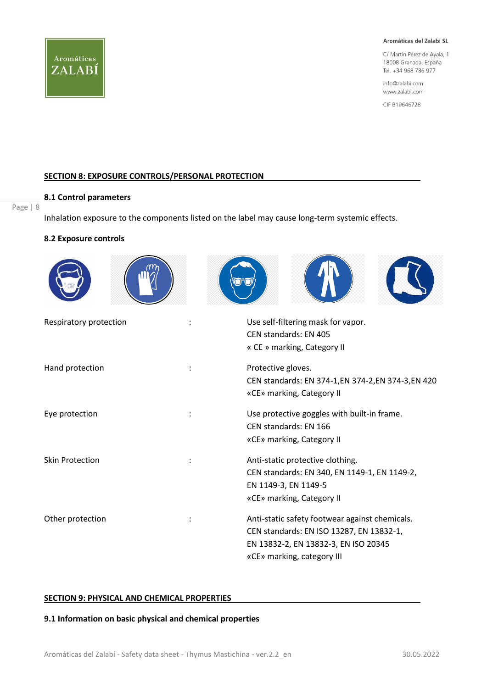

C/ Martín Pérez de Ayala, 1 18008 Granada, España Tel. +34 968 786 977

info@zalabi.com www.zalabi.com

CIF B19646728

#### **SECTION 8: EXPOSURE CONTROLS/PERSONAL PROTECTION**

#### Page | 8

**8.1 Control parameters**

Inhalation exposure to the components listed on the label may cause long-term systemic effects.

#### **8.2 Exposure controls**

| Respiratory protection | Use self-filtering mask for vapor.<br>CEN standards: EN 405<br>« CE » marking, Category II                                                                       |
|------------------------|------------------------------------------------------------------------------------------------------------------------------------------------------------------|
| Hand protection        | Protective gloves.<br>CEN standards: EN 374-1, EN 374-2, EN 374-3, EN 420<br>«CE» marking, Category II                                                           |
| Eye protection         | Use protective goggles with built-in frame.<br>CEN standards: EN 166<br>«CE» marking, Category II                                                                |
| <b>Skin Protection</b> | Anti-static protective clothing.<br>CEN standards: EN 340, EN 1149-1, EN 1149-2,<br>EN 1149-3, EN 1149-5<br>«CE» marking, Category II                            |
| Other protection       | Anti-static safety footwear against chemicals.<br>CEN standards: EN ISO 13287, EN 13832-1,<br>EN 13832-2, EN 13832-3, EN ISO 20345<br>«CE» marking, category III |

#### **SECTION 9: PHYSICAL AND CHEMICAL PROPERTIES**

#### **9.1 Information on basic physical and chemical properties**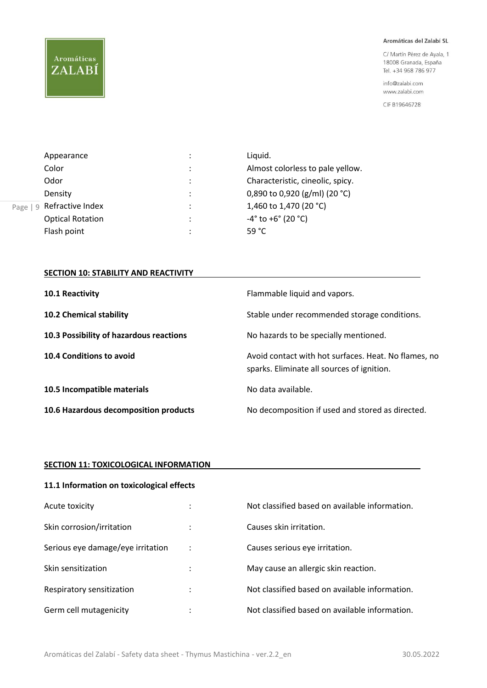# Aromáticas ZALABÍ

#### Aromáticas del Zalabí SL

C/ Martín Pérez de Ayala, 1 18008 Granada, España Tel. +34 968 786 977

info@zalabi.com www.zalabi.com

CIF B19646728

|           | Appearance              | ٠ | Liquid.                                         |
|-----------|-------------------------|---|-------------------------------------------------|
|           | Color                   | ٠ | Almost colorless to pale yellow.                |
|           | Odor                    | ٠ | Characteristic, cineolic, spicy.                |
|           | Density                 | ٠ | 0,890 to 0,920 (g/ml) (20 °C)                   |
| Q<br>Page | Refractive Index        | ٠ | 1,460 to 1,470 (20 °C)                          |
|           | <b>Optical Rotation</b> | ٠ | $-4^{\circ}$ to +6 $^{\circ}$ (20 $^{\circ}$ C) |
|           | Flash point             | ٠ | 59 $^{\circ}$ C                                 |

## **SECTION 10: STABILITY AND REACTIVITY**

| 10.1 Reactivity                         | Flammable liquid and vapors.                                                                       |
|-----------------------------------------|----------------------------------------------------------------------------------------------------|
| 10.2 Chemical stability                 | Stable under recommended storage conditions.                                                       |
| 10.3 Possibility of hazardous reactions | No hazards to be specially mentioned.                                                              |
| 10.4 Conditions to avoid                | Avoid contact with hot surfaces. Heat. No flames, no<br>sparks. Eliminate all sources of ignition. |
| 10.5 Incompatible materials             | No data available.                                                                                 |
| 10.6 Hazardous decomposition products   | No decomposition if used and stored as directed.                                                   |

## **SECTION 11: TOXICOLOGICAL INFORMATION**

| 11.1 Information on toxicological effects |                |                                                |  |
|-------------------------------------------|----------------|------------------------------------------------|--|
| Acute toxicity                            |                | Not classified based on available information. |  |
| Skin corrosion/irritation                 |                | Causes skin irritation.                        |  |
| Serious eye damage/eye irritation         | $\ddot{\cdot}$ | Causes serious eye irritation.                 |  |
| Skin sensitization                        |                | May cause an allergic skin reaction.           |  |
| Respiratory sensitization                 |                | Not classified based on available information. |  |
| Germ cell mutagenicity                    |                | Not classified based on available information. |  |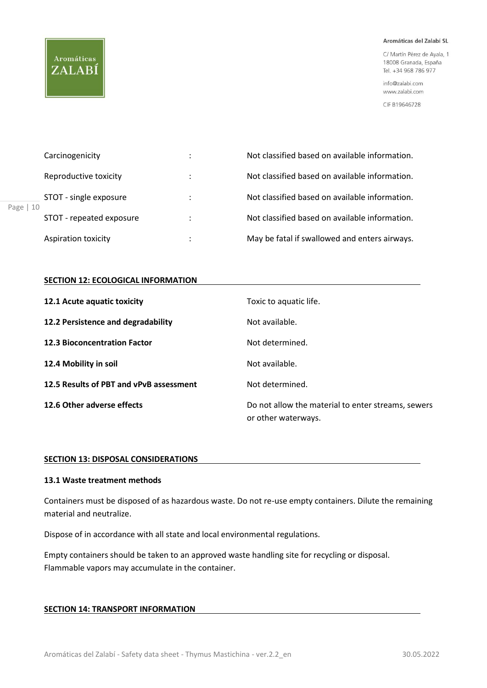# Aromáticas ZALABÍ

Page |

#### Aromáticas del Zalabí SL

C/ Martín Pérez de Ayala, 1 18008 Granada, España Tel. +34 968 786 977

info@zalabi.com www.zalabi.com

CIF B19646728

|    | Carcinogenicity          | ٠<br>$\cdot$         | Not classified based on available information. |  |
|----|--------------------------|----------------------|------------------------------------------------|--|
| 10 | Reproductive toxicity    |                      | Not classified based on available information. |  |
|    | STOT - single exposure   | $\ddot{\phantom{a}}$ | Not classified based on available information. |  |
|    | STOT - repeated exposure |                      | Not classified based on available information. |  |
|    | Aspiration toxicity      |                      | May be fatal if swallowed and enters airways.  |  |

#### **SECTION 12: ECOLOGICAL INFORMATION**

| 12.1 Acute aquatic toxicity             | Toxic to aquatic life.                                                    |
|-----------------------------------------|---------------------------------------------------------------------------|
| 12.2 Persistence and degradability      | Not available.                                                            |
| <b>12.3 Bioconcentration Factor</b>     | Not determined.                                                           |
| 12.4 Mobility in soil                   | Not available.                                                            |
| 12.5 Results of PBT and vPvB assessment | Not determined.                                                           |
| 12.6 Other adverse effects              | Do not allow the material to enter streams, sewers<br>or other waterways. |

## **SECTION 13: DISPOSAL CONSIDERATIONS**

## **13.1 Waste treatment methods**

Containers must be disposed of as hazardous waste. Do not re-use empty containers. Dilute the remaining material and neutralize.

Dispose of in accordance with all state and local environmental regulations.

Empty containers should be taken to an approved waste handling site for recycling or disposal. Flammable vapors may accumulate in the container.

#### **SECTION 14: TRANSPORT INFORMATION**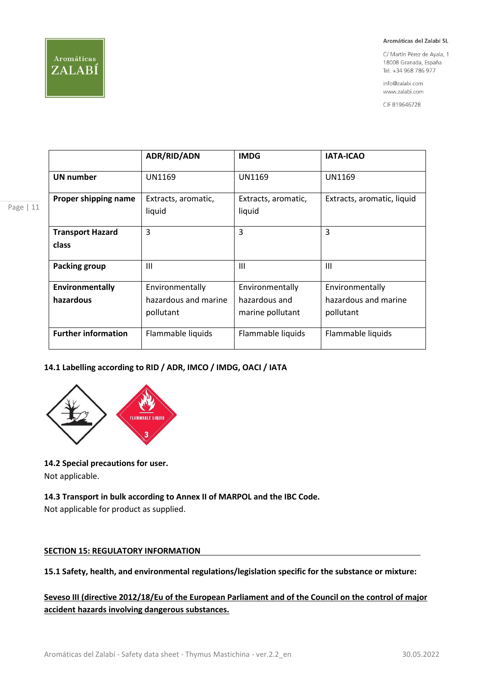

Page | 11

#### Aromáticas del Zalabí SL

C/ Martín Pérez de Ayala, 1 18008 Granada, España Tel. +34 968 786 977

info@zalabi.com www.zalabi.com

CIF B19646728

|                            | <b>ADR/RID/ADN</b>   | <b>IMDG</b>         | <b>IATA-ICAO</b>           |
|----------------------------|----------------------|---------------------|----------------------------|
| <b>UN number</b>           | <b>UN1169</b>        | <b>UN1169</b>       | UN1169                     |
| Proper shipping name       | Extracts, aromatic,  | Extracts, aromatic, | Extracts, aromatic, liquid |
|                            | liquid               | liquid              |                            |
| <b>Transport Hazard</b>    | 3                    | 3                   | 3                          |
| class                      |                      |                     |                            |
| Packing group              | $\mathbf{III}$       | $\mathbf{III}$      | $\mathbf{III}$             |
| Environmentally            | Environmentally      | Environmentally     | Environmentally            |
| hazardous                  | hazardous and marine | hazardous and       | hazardous and marine       |
|                            | pollutant            | marine pollutant    | pollutant                  |
| <b>Further information</b> | Flammable liquids    | Flammable liquids   | Flammable liquids          |

## **14.1 Labelling according to RID / ADR, IMCO / IMDG, OACI / IATA**



#### **14.2 Special precautions for user.**

Not applicable.

#### **14.3 Transport in bulk according to Annex II of MARPOL and the IBC Code.**

Not applicable for product as supplied.

#### **SECTION 15: REGULATORY INFORMATION**

**15.1 Safety, health, and environmental regulations/legislation specific for the substance or mixture:** 

## **Seveso III (directive 2012/18/Eu of the European Parliament and of the Council on the control of major accident hazards involving dangerous substances.**